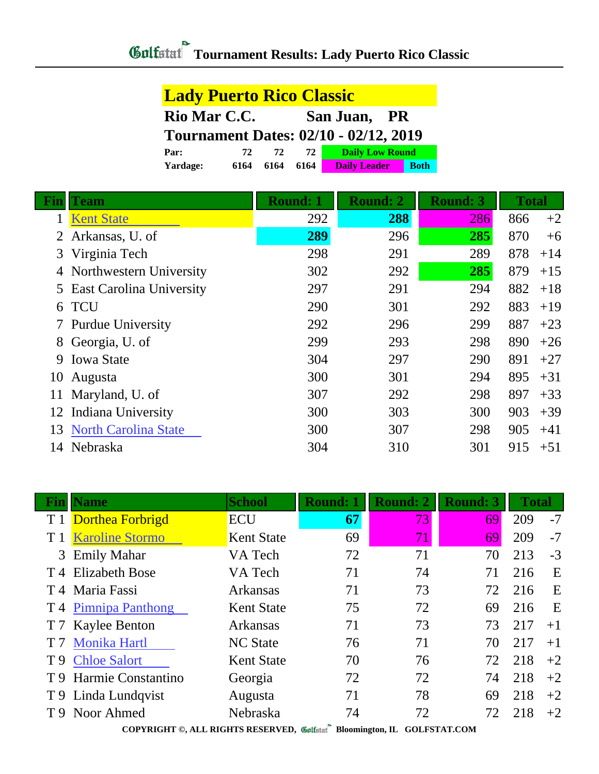| <b>Lady Puerto Rico Classic</b> |      |      |      |                                              |             |  |  |
|---------------------------------|------|------|------|----------------------------------------------|-------------|--|--|
| Rio Mar C.C.<br>San Juan, PR    |      |      |      |                                              |             |  |  |
|                                 |      |      |      | <b>Tournament Dates: 02/10 - 02/12, 2019</b> |             |  |  |
| Par:                            | 72   | 72.  | 72   | <b>Daily Low Round</b>                       |             |  |  |
| Yardage:                        | 6164 | 6164 | 6164 | <b>Daily Leader</b>                          | <b>Both</b> |  |  |

| Fin | <b>Team</b>                 | <b>Round: 1</b> | <b>Round: 2</b> | <b>Round: 3</b> | <b>Total</b> |       |
|-----|-----------------------------|-----------------|-----------------|-----------------|--------------|-------|
|     | <b>Kent State</b>           | 292             | 288             | 286             | 866          | $+2$  |
|     | 2 Arkansas, U. of           | 289             | 296             | 285             | 870          | $+6$  |
| 3   | Virginia Tech               | 298             | 291             | 289             | 878          | $+14$ |
| 4   | Northwestern University     | 302             | 292             | 285             | 879          | $+15$ |
|     | 5 East Carolina University  | 297             | 291             | 294             | 882          | $+18$ |
| 6   | <b>TCU</b>                  | 290             | 301             | 292             | 883          | $+19$ |
|     | 7 Purdue University         | 292             | 296             | 299             | 887          | $+23$ |
| 8   | Georgia, U. of              | 299             | 293             | 298             | 890          | $+26$ |
| 9   | <b>Iowa State</b>           | 304             | 297             | 290             | 891          | $+27$ |
| 10  | Augusta                     | 300             | 301             | 294             | 895          | $+31$ |
| 11  | Maryland, U. of             | 307             | 292             | 298             | 897          | $+33$ |
| 12  | Indiana University          | 300             | 303             | 300             | 903          | $+39$ |
| 13  | <b>North Carolina State</b> | 300             | 307             | 298             | 905          | $+41$ |
| 14  | Nebraska                    | 304             | 310             | 301             | 915          | $+51$ |

| Fın | <b>Name</b>                   | <b>School</b>     | <b>Round: 1</b> | <b>Round: 2</b> | <b>Round: 3</b> | <b>Total</b> |      |
|-----|-------------------------------|-------------------|-----------------|-----------------|-----------------|--------------|------|
| T 1 | Dorthea Forbrigd              | ECU               | 67              | 73              | 69              | 209          | $-7$ |
|     | <b>Karoline Stormo</b>        | <b>Kent State</b> | 69              | 71              | 69              | 209          | $-7$ |
| 3   | <b>Emily Mahar</b>            | VA Tech           | 72              | 71              | 70              | 213          | $-3$ |
|     | T <sub>4</sub> Elizabeth Bose | VA Tech           | 71              | 74              | 71              | 216          | E    |
|     | T 4 Maria Fassi               | <b>Arkansas</b>   | 71              | 73              | 72              | 216          | E    |
|     | T 4 Pimnipa Panthong          | <b>Kent State</b> | 75              | 72              | 69              | 216          | E    |
|     | T 7 Kaylee Benton             | <b>Arkansas</b>   | 71              | 73              | 73              | 217          | $+1$ |
|     | <b>Monika Hartl</b>           | <b>NC</b> State   | 76              | 71              | 70              | 217          | $+1$ |
| T 9 | <b>Chloe Salort</b>           | <b>Kent State</b> | 70              | 76              | 72              | 218          | $+2$ |
|     | T 9 Harmie Constantino        | Georgia           | 72              | 72              | 74              | 218          | $+2$ |
|     | T 9 Linda Lundqvist           | Augusta           | 71              | 78              | 69              | 218          | $+2$ |
|     | T 9 Noor Ahmed                | Nebraska          | 74              | 72              | 72              | 218          | $+2$ |
|     |                               |                   | $\mathbf{a}$    |                 |                 |              |      |

**COPYRIGHT ©, ALL RIGHTS RESERVED, Bloomington, IL GOLFSTAT.COM**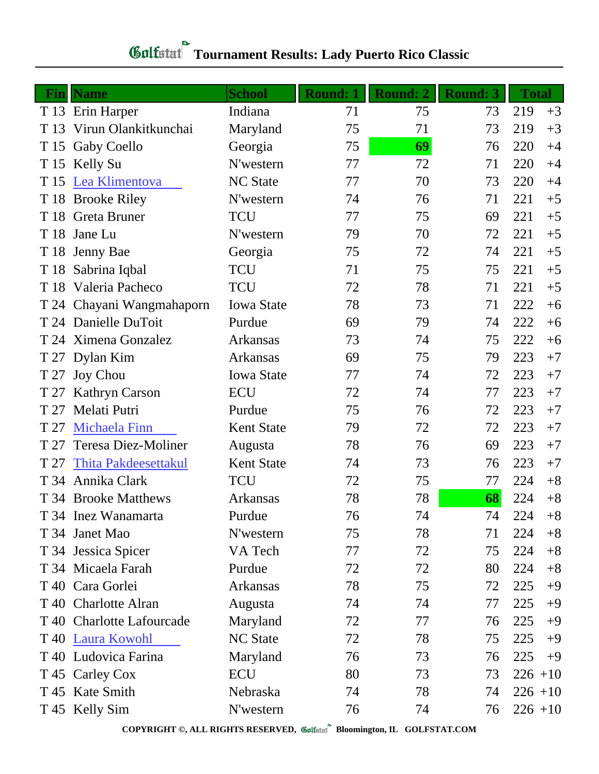## **Tournament Results: Lady Puerto Rico Classic**

| Fin  | <b>Name</b>                | <b>School</b>     | <b>Round: 1</b> | <b>Round: 2</b> | <b>Round: 3</b> | <b>Total</b> |      |
|------|----------------------------|-------------------|-----------------|-----------------|-----------------|--------------|------|
|      | T 13 Erin Harper           | Indiana           | 71              | 75              | 73              | 219          | $+3$ |
| T 13 | Virun Olankitkunchai       | Maryland          | 75              | 71              | 73              | 219          | $+3$ |
|      | T 15 Gaby Coello           | Georgia           | 75              | 69              | 76              | 220          | $+4$ |
|      | T 15 Kelly Su              | N'western         | 77              | 72              | 71              | 220          | $+4$ |
|      | T 15 Lea Klimentova        | <b>NC</b> State   | 77              | 70              | 73              | 220          | $+4$ |
|      | T 18 Brooke Riley          | N'western         | 74              | 76              | 71              | 221          | $+5$ |
|      | T 18 Greta Bruner          | <b>TCU</b>        | 77              | 75              | 69              | 221          | $+5$ |
| T 18 | Jane Lu                    | N'western         | 79              | 70              | 72              | 221          | $+5$ |
| T 18 | Jenny Bae                  | Georgia           | 75              | 72              | 74              | 221          | $+5$ |
|      | T 18 Sabrina Iqbal         | <b>TCU</b>        | 71              | 75              | 75              | 221          | $+5$ |
|      | T 18 Valeria Pacheco       | <b>TCU</b>        | 72              | 78              | 71              | 221          | $+5$ |
|      | T 24 Chayani Wangmahaporn  | <b>Iowa State</b> | 78              | 73              | 71              | 222          | $+6$ |
|      | T 24 Danielle DuToit       | Purdue            | 69              | 79              | 74              | 222          | $+6$ |
|      | T 24 Ximena Gonzalez       | Arkansas          | 73              | 74              | 75              | 222          | $+6$ |
|      | T 27 Dylan Kim             | Arkansas          | 69              | 75              | 79              | 223          | $+7$ |
| T 27 | <b>Joy Chou</b>            | <b>Iowa State</b> | 77              | 74              | 72              | 223          | $+7$ |
| T 27 | <b>Kathryn Carson</b>      | <b>ECU</b>        | 72              | 74              | 77              | 223          | $+7$ |
| T 27 | Melati Putri               | Purdue            | 75              | 76              | 72              | 223          | $+7$ |
| T 27 | <b>Michaela Finn</b>       | <b>Kent State</b> | 79              | 72              | 72              | 223          | $+7$ |
| T 27 | <b>Teresa Diez-Moliner</b> | Augusta           | 78              | 76              | 69              | 223          | $+7$ |
| T 27 | Thita Pakdeesettakul       | <b>Kent State</b> | 74              | 73              | 76              | 223          | $+7$ |
|      | T 34 Annika Clark          | <b>TCU</b>        | 72              | 75              | 77              | 224          | $+8$ |
|      | T 34 Brooke Matthews       | Arkansas          | 78              | 78              | 68              | 224          | $+8$ |
|      | T 34 Inez Wanamarta        | Purdue            | 76              | 74              | 74              | 224          | $+8$ |
|      | T 34 Janet Mao             | N'western         | 75              | 78              | 71              | 224          | $+8$ |
|      | T 34 Jessica Spicer        | VA Tech           | 77              | 72              | 75              | 224          | $+8$ |
|      | T 34 Micaela Farah         | Purdue            | 72              | 72              | 80              | 224          | $+8$ |
|      | T 40 Cara Gorlei           | Arkansas          | 78              | 75              | 72              | 225          | $+9$ |
|      | T 40 Charlotte Alran       | Augusta           | 74              | 74              | 77              | 225          | $+9$ |
|      | T 40 Charlotte Lafourcade  | Maryland          | 72              | 77              | 76              | 225          | $+9$ |
|      | T 40 Laura Kowohl          | <b>NC State</b>   | 72              | 78              | 75              | 225          | $+9$ |
|      | T 40 Ludovica Farina       | Maryland          | 76              | 73              | 76              | 225          | $+9$ |
|      | T 45 Carley Cox            | <b>ECU</b>        | 80              | 73              | 73              | $226 + 10$   |      |
|      | T 45 Kate Smith            | Nebraska          | 74              | 78              | 74              | $226 + 10$   |      |
|      | T 45 Kelly Sim             | N'western         | 76              | 74              | 76              | $226 + 10$   |      |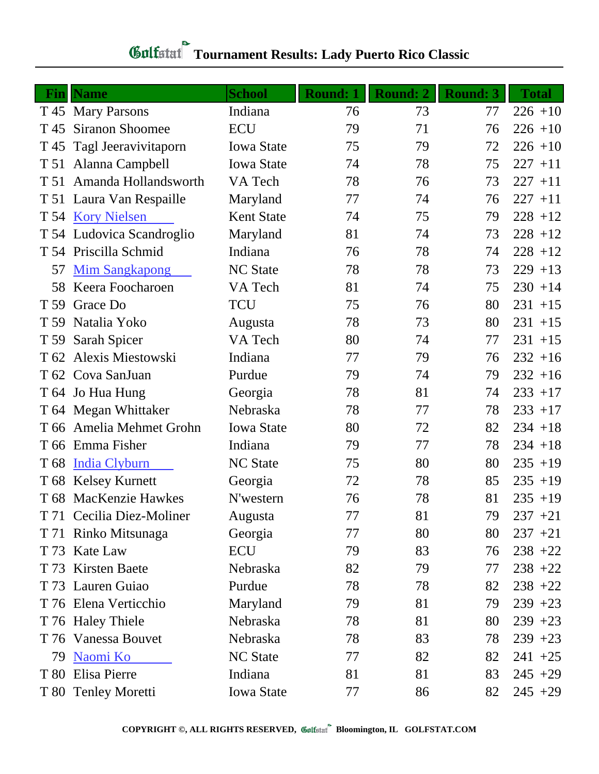## **Tournament Results: Lady Puerto Rico Classic**

| Fin             | <b>Name</b>               | <b>School</b>     | <b>Round: 1</b> | <b>Round: 2</b> | <b>Round: 3</b> | <b>Total</b> |
|-----------------|---------------------------|-------------------|-----------------|-----------------|-----------------|--------------|
|                 | T 45 Mary Parsons         | Indiana           | 76              | 73              | 77              | $226 + 10$   |
| T 45            | <b>Siranon Shoomee</b>    | <b>ECU</b>        | 79              | 71              | 76              | $226 + 10$   |
| T 45            | Tagl Jeeravivitaporn      | <b>Iowa State</b> | 75              | 79              | 72              | $226 + 10$   |
|                 | T 51 Alanna Campbell      | <b>Iowa State</b> | 74              | 78              | 75              | $227 + 11$   |
|                 | T 51 Amanda Hollandsworth | VA Tech           | 78              | 76              | 73              | $227 + 11$   |
|                 | T 51 Laura Van Respaille  | Maryland          | 77              | 74              | 76              | $227 + 11$   |
|                 | T 54 Kory Nielsen         | <b>Kent State</b> | 74              | 75              | 79              | $228 + 12$   |
|                 | T 54 Ludovica Scandroglio | Maryland          | 81              | 74              | 73              | $228 + 12$   |
|                 | T 54 Priscilla Schmid     | Indiana           | 76              | 78              | 74              | $228 + 12$   |
| 57              | <b>Mim Sangkapong</b>     | <b>NC State</b>   | 78              | 78              | 73              | $229 + 13$   |
| 58              | Keera Foocharoen          | VA Tech           | 81              | 74              | 75              | $230 + 14$   |
| T 59            | Grace Do                  | <b>TCU</b>        | 75              | 76              | 80              | $231 + 15$   |
|                 | T 59 Natalia Yoko         | Augusta           | 78              | 73              | 80              | $231 + 15$   |
|                 | T 59 Sarah Spicer         | VA Tech           | 80              | 74              | 77              | $231 + 15$   |
|                 | T 62 Alexis Miestowski    | Indiana           | 77              | 79              | 76              | $232 + 16$   |
|                 | T 62 Cova SanJuan         | Purdue            | 79              | 74              | 79              | $232 + 16$   |
|                 | T 64 Jo Hua Hung          | Georgia           | 78              | 81              | 74              | $233 + 17$   |
|                 | T 64 Megan Whittaker      | Nebraska          | 78              | 77              | 78              | $233 + 17$   |
| T 66            | Amelia Mehmet Grohn       | <b>Iowa State</b> | 80              | 72              | 82              | $234 + 18$   |
|                 | T 66 Emma Fisher          | Indiana           | 79              | 77              | 78              | $234 + 18$   |
| T <sub>68</sub> | <b>India Clyburn</b>      | <b>NC State</b>   | 75              | 80              | 80              | $235 + 19$   |
|                 | T 68 Kelsey Kurnett       | Georgia           | 72              | 78              | 85              | $235 + 19$   |
|                 | T 68 MacKenzie Hawkes     | N'western         | 76              | 78              | 81              | $235 + 19$   |
|                 | T 71 Cecilia Diez-Moliner | Augusta           | 77              | 81              | 79              | $237 +21$    |
| T 71            | Rinko Mitsunaga           | Georgia           | 77              | 80              | 80              | $237 +21$    |
| T 73            | Kate Law                  | <b>ECU</b>        | 79              | 83              | 76              | $238 + 22$   |
| T 73            | <b>Kirsten Baete</b>      | Nebraska          | 82              | 79              | 77              | $238 + 22$   |
|                 | T 73 Lauren Guiao         | Purdue            | 78              | 78              | 82              | $238 + 22$   |
|                 | T 76 Elena Verticchio     | Maryland          | 79              | 81              | 79              | $239 + 23$   |
|                 | T 76 Haley Thiele         | Nebraska          | 78              | 81              | 80              | $239 + 23$   |
|                 | T 76 Vanessa Bouvet       | Nebraska          | 78              | 83              | 78              | $239 + 23$   |
| 79              | Naomi Ko                  | <b>NC State</b>   | 77              | 82              | 82              | $241 + 25$   |
| T 80            | Elisa Pierre              | Indiana           | 81              | 81              | 83              | $245 + 29$   |
|                 | T 80 Tenley Moretti       | <b>Iowa State</b> | 77              | 86              | 82              | $245 + 29$   |